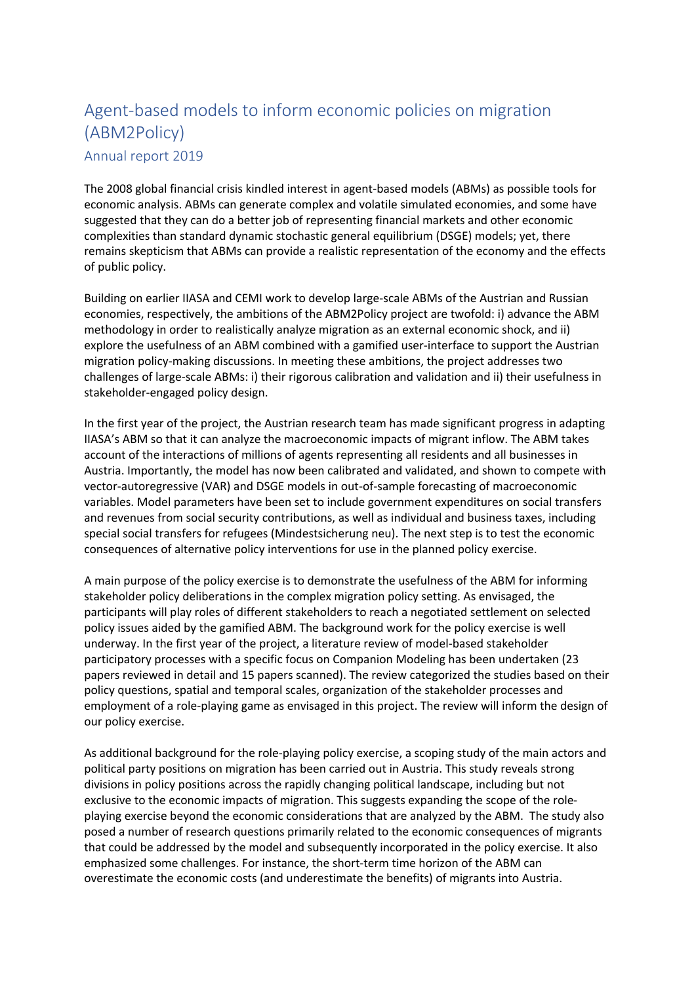## Agent-based models to inform economic policies on migration (ABM2Policy)

Annual report 2019

The 2008 global financial crisis kindled interest in agent-based models (ABMs) as possible tools for economic analysis. ABMs can generate complex and volatile simulated economies, and some have suggested that they can do a better job of representing financial markets and other economic complexities than standard dynamic stochastic general equilibrium (DSGE) models; yet, there remains skepticism that ABMs can provide a realistic representation of the economy and the effects of public policy.

Building on earlier IIASA and CEMI work to develop large-scale ABMs of the Austrian and Russian economies, respectively, the ambitions of the ABM2Policy project are twofold: i) advance the ABM methodology in order to realistically analyze migration as an external economic shock, and ii) explore the usefulness of an ABM combined with a gamified user-interface to support the Austrian migration policy-making discussions. In meeting these ambitions, the project addresses two challenges of large-scale ABMs: i) their rigorous calibration and validation and ii) their usefulness in stakeholder-engaged policy design.

In the first year of the project, the Austrian research team has made significant progress in adapting IIASA's ABM so that it can analyze the macroeconomic impacts of migrant inflow. The ABM takes account of the interactions of millions of agents representing all residents and all businesses in Austria. Importantly, the model has now been calibrated and validated, and shown to compete with vector-autoregressive (VAR) and DSGE models in out-of-sample forecasting of macroeconomic variables. Model parameters have been set to include government expenditures on social transfers and revenues from social security contributions, as well as individual and business taxes, including special social transfers for refugees (Mindestsicherung neu). The next step is to test the economic consequences of alternative policy interventions for use in the planned policy exercise.

A main purpose of the policy exercise is to demonstrate the usefulness of the ABM for informing stakeholder policy deliberations in the complex migration policy setting. As envisaged, the participants will play roles of different stakeholders to reach a negotiated settlement on selected policy issues aided by the gamified ABM. The background work for the policy exercise is well underway. In the first year of the project, a literature review of model-based stakeholder participatory processes with a specific focus on Companion Modeling has been undertaken (23 papers reviewed in detail and 15 papers scanned). The review categorized the studies based on their policy questions, spatial and temporal scales, organization of the stakeholder processes and employment of a role-playing game as envisaged in this project. The review will inform the design of our policy exercise.

As additional background for the role-playing policy exercise, a scoping study of the main actors and political party positions on migration has been carried out in Austria. This study reveals strong divisions in policy positions across the rapidly changing political landscape, including but not exclusive to the economic impacts of migration. This suggests expanding the scope of the roleplaying exercise beyond the economic considerations that are analyzed by the ABM. The study also posed a number of research questions primarily related to the economic consequences of migrants that could be addressed by the model and subsequently incorporated in the policy exercise. It also emphasized some challenges. For instance, the short-term time horizon of the ABM can overestimate the economic costs (and underestimate the benefits) of migrants into Austria.